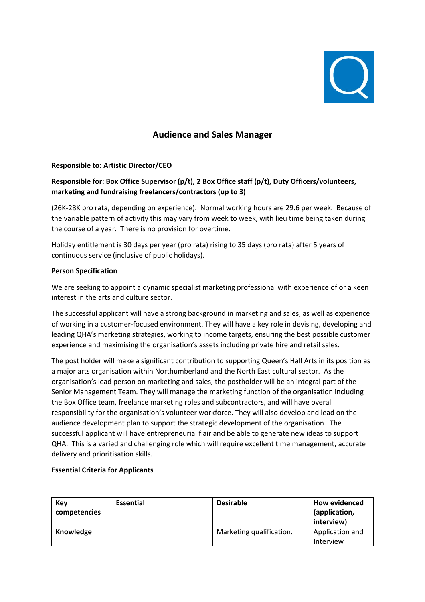

# **Audience and Sales Manager**

#### **Responsible to: Artistic Director/CEO**

## **Responsible for: Box Office Supervisor (p/t), 2 Box Office staff (p/t), Duty Officers/volunteers, marketing and fundraising freelancers/contractors (up to 3)**

(26K-28K pro rata, depending on experience). Normal working hours are 29.6 per week. Because of the variable pattern of activity this may vary from week to week, with lieu time being taken during the course of a year. There is no provision for overtime.

Holiday entitlement is 30 days per year (pro rata) rising to 35 days (pro rata) after 5 years of continuous service (inclusive of public holidays).

#### **Person Specification**

We are seeking to appoint a dynamic specialist marketing professional with experience of or a keen interest in the arts and culture sector.

The successful applicant will have a strong background in marketing and sales, as well as experience of working in a customer-focused environment. They will have a key role in devising, developing and leading QHA's marketing strategies, working to income targets, ensuring the best possible customer experience and maximising the organisation's assets including private hire and retail sales.

The post holder will make a significant contribution to supporting Queen's Hall Arts in its position as a major arts organisation within Northumberland and the North East cultural sector. As the organisation's lead person on marketing and sales, the postholder will be an integral part of the Senior Management Team. They will manage the marketing function of the organisation including the Box Office team, freelance marketing roles and subcontractors, and will have overall responsibility for the organisation's volunteer workforce. They will also develop and lead on the audience development plan to support the strategic development of the organisation. The successful applicant will have entrepreneurial flair and be able to generate new ideas to support QHA. This is a varied and challenging role which will require excellent time management, accurate delivery and prioritisation skills.

#### **Essential Criteria for Applicants**

| Key<br>competencies | <b>Essential</b> | <b>Desirable</b>         | <b>How evidenced</b><br>(application,<br>interview) |
|---------------------|------------------|--------------------------|-----------------------------------------------------|
| Knowledge           |                  | Marketing qualification. | Application and<br>Interview                        |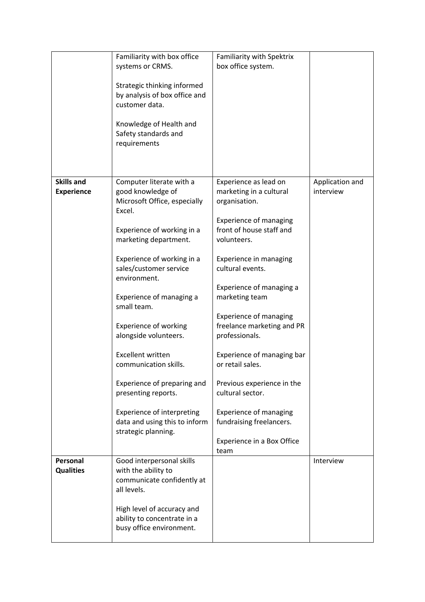|                                        | Familiarity with box office<br>systems or CRMS.<br>Strategic thinking informed<br>by analysis of box office and<br>customer data.<br>Knowledge of Health and<br>Safety standards and<br>requirements                                                                                                                                                                                                                                                                                                                 | Familiarity with Spektrix<br>box office system.                                                                                                                                                                                                                                                                                                                                                                                                                                                                                   |                              |
|----------------------------------------|----------------------------------------------------------------------------------------------------------------------------------------------------------------------------------------------------------------------------------------------------------------------------------------------------------------------------------------------------------------------------------------------------------------------------------------------------------------------------------------------------------------------|-----------------------------------------------------------------------------------------------------------------------------------------------------------------------------------------------------------------------------------------------------------------------------------------------------------------------------------------------------------------------------------------------------------------------------------------------------------------------------------------------------------------------------------|------------------------------|
| <b>Skills and</b><br><b>Experience</b> | Computer literate with a<br>good knowledge of<br>Microsoft Office, especially<br>Excel.<br>Experience of working in a<br>marketing department.<br>Experience of working in a<br>sales/customer service<br>environment.<br>Experience of managing a<br>small team.<br>Experience of working<br>alongside volunteers.<br><b>Excellent written</b><br>communication skills.<br>Experience of preparing and<br>presenting reports.<br>Experience of interpreting<br>data and using this to inform<br>strategic planning. | Experience as lead on<br>marketing in a cultural<br>organisation.<br><b>Experience of managing</b><br>front of house staff and<br>volunteers.<br>Experience in managing<br>cultural events.<br>Experience of managing a<br>marketing team<br><b>Experience of managing</b><br>freelance marketing and PR<br>professionals.<br>Experience of managing bar<br>or retail sales.<br>Previous experience in the<br>cultural sector.<br><b>Experience of managing</b><br>fundraising freelancers.<br>Experience in a Box Office<br>team | Application and<br>interview |
| Personal<br><b>Qualities</b>           | Good interpersonal skills<br>with the ability to<br>communicate confidently at<br>all levels.<br>High level of accuracy and<br>ability to concentrate in a<br>busy office environment.                                                                                                                                                                                                                                                                                                                               |                                                                                                                                                                                                                                                                                                                                                                                                                                                                                                                                   | Interview                    |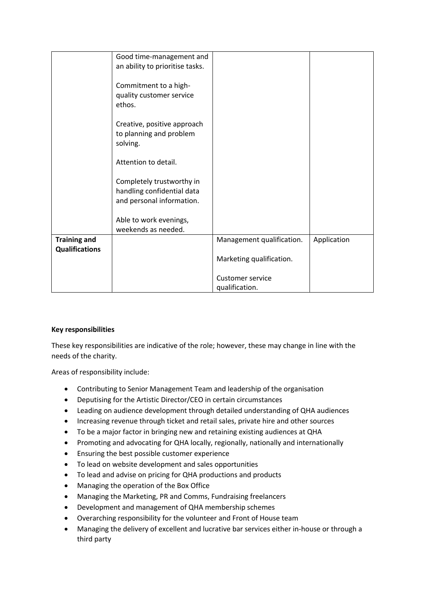|                       | Good time-management and        |                           |             |
|-----------------------|---------------------------------|---------------------------|-------------|
|                       | an ability to prioritise tasks. |                           |             |
|                       |                                 |                           |             |
|                       | Commitment to a high-           |                           |             |
|                       | quality customer service        |                           |             |
|                       | ethos.                          |                           |             |
|                       |                                 |                           |             |
|                       | Creative, positive approach     |                           |             |
|                       | to planning and problem         |                           |             |
|                       | solving.                        |                           |             |
|                       |                                 |                           |             |
|                       | Attention to detail.            |                           |             |
|                       |                                 |                           |             |
|                       | Completely trustworthy in       |                           |             |
|                       | handling confidential data      |                           |             |
|                       | and personal information.       |                           |             |
|                       | Able to work evenings,          |                           |             |
|                       | weekends as needed.             |                           |             |
| <b>Training and</b>   |                                 | Management qualification. | Application |
| <b>Qualifications</b> |                                 |                           |             |
|                       |                                 | Marketing qualification.  |             |
|                       |                                 |                           |             |
|                       |                                 | <b>Customer service</b>   |             |
|                       |                                 | qualification.            |             |

### **Key responsibilities**

These key responsibilities are indicative of the role; however, these may change in line with the needs of the charity.

Areas of responsibility include:

- Contributing to Senior Management Team and leadership of the organisation
- Deputising for the Artistic Director/CEO in certain circumstances
- Leading on audience development through detailed understanding of QHA audiences
- Increasing revenue through ticket and retail sales, private hire and other sources
- To be a major factor in bringing new and retaining existing audiences at QHA
- Promoting and advocating for QHA locally, regionally, nationally and internationally
- Ensuring the best possible customer experience
- To lead on website development and sales opportunities
- To lead and advise on pricing for QHA productions and products
- Managing the operation of the Box Office
- Managing the Marketing, PR and Comms, Fundraising freelancers
- Development and management of QHA membership schemes
- Overarching responsibility for the volunteer and Front of House team
- Managing the delivery of excellent and lucrative bar services either in-house or through a third party